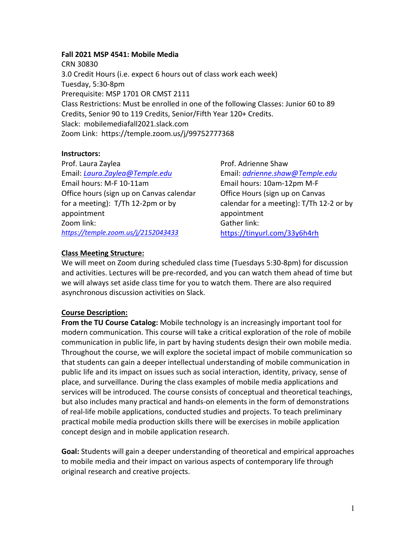#### **Fall 2021 MSP 4541: Mobile Media**

CRN 30830 3.0 Credit Hours (i.e. expect 6 hours out of class work each week) Tuesday, 5:30-8pm Prerequisite: MSP 1701 OR CMST 2111 Class Restrictions: Must be enrolled in one of the following Classes: Junior 60 to 89 Credits, Senior 90 to 119 Credits, Senior/Fifth Year 120+ Credits. Slack: mobilemediafall2021.slack.com Zoom Link: https://temple.zoom.us/j/99752777368

### **Instructors:**

Prof. Laura Zaylea Email: *Laura.Zaylea@Temple.edu* Email hours: M-F 10-11am Office hours (sign up on Canvas calendar for a meeting): T/Th 12-2pm or by appointment Zoom link: *https://temple.zoom.us/j/2152043433*

Prof. Adrienne Shaw Email: *adrienne.shaw@Temple.edu* Email hours: 10am-12pm M-F Office Hours (sign up on Canvas calendar for a meeting): T/Th 12-2 or by appointment Gather link: https://tinyurl.com/33y6h4rh

### **Class Meeting Structure:**

We will meet on Zoom during scheduled class time (Tuesdays 5:30-8pm) for discussion and activities. Lectures will be pre-recorded, and you can watch them ahead of time but we will always set aside class time for you to watch them. There are also required asynchronous discussion activities on Slack.

### **Course Description:**

**From the TU Course Catalog:** Mobile technology is an increasingly important tool for modern communication. This course will take a critical exploration of the role of mobile communication in public life, in part by having students design their own mobile media. Throughout the course, we will explore the societal impact of mobile communication so that students can gain a deeper intellectual understanding of mobile communication in public life and its impact on issues such as social interaction, identity, privacy, sense of place, and surveillance. During the class examples of mobile media applications and services will be introduced. The course consists of conceptual and theoretical teachings, but also includes many practical and hands-on elements in the form of demonstrations of real-life mobile applications, conducted studies and projects. To teach preliminary practical mobile media production skills there will be exercises in mobile application concept design and in mobile application research.

**Goal:** Students will gain a deeper understanding of theoretical and empirical approaches to mobile media and their impact on various aspects of contemporary life through original research and creative projects.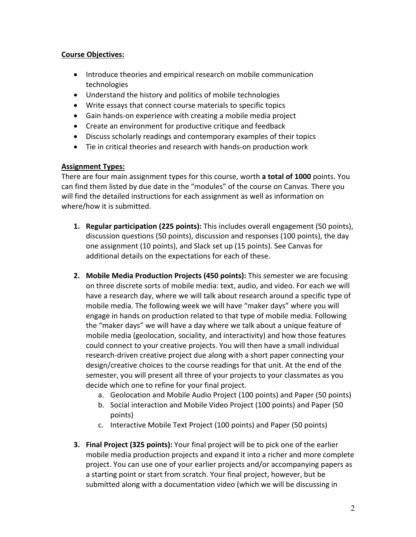# **Course Objectives:**

- Introduce theories and empirical research on mobile communication technologies
- Understand the history and politics of mobile technologies
- Write essays that connect course materials to specific topics
- Gain hands-on experience with creating a mobile media project
- Create an environment for productive critique and feedback
- Discuss scholarly readings and contemporary examples of their topics
- Tie in critical theories and research with hands-on production work

# **Assignment Types:**

There are four main assignment types for this course, worth **a total of 1000** points. You can find them listed by due date in the "modules" of the course on Canvas. There you will find the detailed instructions for each assignment as well as information on where/how it is submitted.

- **1. Regular participation (225 points):** This includes overall engagement (50 points), discussion questions (50 points), discussion and responses (100 points), the day one assignment (10 points), and Slack set up (15 points). See Canvas for additional details on the expectations for each of these.
- **2. Mobile Media Production Projects (450 points):** This semester we are focusing on three discrete sorts of mobile media: text, audio, and video. For each we will have a research day, where we will talk about research around a specific type of mobile media. The following week we will have "maker days" where you will engage in hands on production related to that type of mobile media. Following the "maker days" we will have a day where we talk about a unique feature of mobile media (geolocation, sociality, and interactivity) and how those features could connect to your creative projects. You will then have a small individual research-driven creative project due along with a short paper connecting your design/creative choices to the course readings for that unit. At the end of the semester, you will present all three of your projects to your classmates as you decide which one to refine for your final project.
	- a. Geolocation and Mobile Audio Project (100 points) and Paper (50 points)
	- b. Social interaction and Mobile Video Project (100 points) and Paper (50 points)
	- c. Interactive Mobile Text Project (100 points) and Paper (50 points)
- **3. Final Project (325 points):** Your final project will be to pick one of the earlier mobile media production projects and expand it into a richer and more complete project. You can use one of your earlier projects and/or accompanying papers as a starting point or start from scratch. Your final project, however, but be submitted along with a documentation video (which we will be discussing in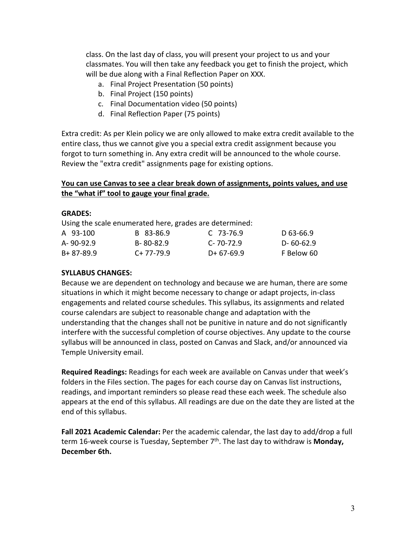class. On the last day of class, you will present your project to us and your classmates. You will then take any feedback you get to finish the project, which will be due along with a Final Reflection Paper on XXX.

- a. Final Project Presentation (50 points)
- b. Final Project (150 points)
- c. Final Documentation video (50 points)
- d. Final Reflection Paper (75 points)

Extra credit: As per Klein policy we are only allowed to make extra credit available to the entire class, thus we cannot give you a special extra credit assignment because you forgot to turn something in. Any extra credit will be announced to the whole course. Review the "extra credit" assignments page for existing options.

### **You can use Canvas to see a clear break down of assignments, points values, and use the "what if" tool to gauge your final grade.**

### **GRADES:**

Using the scale enumerated here, grades are determined:

| A 93-100        | B 83-86.9   | $C$ 73-76.9     | D 63-66.9       |
|-----------------|-------------|-----------------|-----------------|
| $A - 90 - 92.9$ | B-80-82.9   | $C - 70 - 72.9$ | $D - 60 - 62.9$ |
| B+ 87-89.9      | $C+77-79.9$ | $D+67-69.9$     | F Below 60      |

### **SYLLABUS CHANGES:**

Because we are dependent on technology and because we are human, there are some situations in which it might become necessary to change or adapt projects, in-class engagements and related course schedules. This syllabus, its assignments and related course calendars are subject to reasonable change and adaptation with the understanding that the changes shall not be punitive in nature and do not significantly interfere with the successful completion of course objectives. Any update to the course syllabus will be announced in class, posted on Canvas and Slack, and/or announced via Temple University email.

**Required Readings:** Readings for each week are available on Canvas under that week's folders in the Files section. The pages for each course day on Canvas list instructions, readings, and important reminders so please read these each week. The schedule also appears at the end of this syllabus. All readings are due on the date they are listed at the end of this syllabus.

**Fall 2021 Academic Calendar:** Per the academic calendar, the last day to add/drop a full term 16-week course is Tuesday, September 7th. The last day to withdraw is **Monday, December 6th.**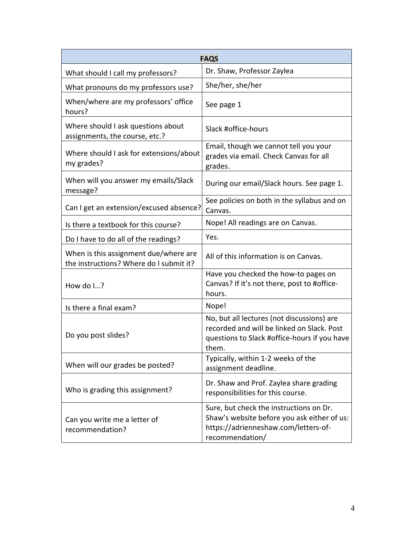| <b>FAQS</b>                                                                      |                                                                                                                                                   |  |  |  |
|----------------------------------------------------------------------------------|---------------------------------------------------------------------------------------------------------------------------------------------------|--|--|--|
| What should I call my professors?                                                | Dr. Shaw, Professor Zaylea                                                                                                                        |  |  |  |
| What pronouns do my professors use?                                              | She/her, she/her                                                                                                                                  |  |  |  |
| When/where are my professors' office<br>hours?                                   | See page 1                                                                                                                                        |  |  |  |
| Where should I ask questions about<br>assignments, the course, etc.?             | Slack #office-hours                                                                                                                               |  |  |  |
| Where should I ask for extensions/about<br>my grades?                            | Email, though we cannot tell you your<br>grades via email. Check Canvas for all<br>grades.                                                        |  |  |  |
| When will you answer my emails/Slack<br>message?                                 | During our email/Slack hours. See page 1.                                                                                                         |  |  |  |
| Can I get an extension/excused absence?                                          | See policies on both in the syllabus and on<br>Canvas.                                                                                            |  |  |  |
| Is there a textbook for this course?                                             | Nope! All readings are on Canvas.                                                                                                                 |  |  |  |
| Do I have to do all of the readings?                                             | Yes.                                                                                                                                              |  |  |  |
| When is this assignment due/where are<br>the instructions? Where do I submit it? | All of this information is on Canvas.                                                                                                             |  |  |  |
| How do $I?$                                                                      | Have you checked the how-to pages on<br>Canvas? If it's not there, post to #office-<br>hours.                                                     |  |  |  |
| Is there a final exam?                                                           | Nope!                                                                                                                                             |  |  |  |
| Do you post slides?                                                              | No, but all lectures (not discussions) are<br>recorded and will be linked on Slack. Post<br>questions to Slack #office-hours if you have<br>them. |  |  |  |
| When will our grades be posted?                                                  | Typically, within 1-2 weeks of the<br>assignment deadline.                                                                                        |  |  |  |
| Who is grading this assignment?                                                  | Dr. Shaw and Prof. Zaylea share grading<br>responsibilities for this course.                                                                      |  |  |  |
| Can you write me a letter of<br>recommendation?                                  | Sure, but check the instructions on Dr.<br>Shaw's website before you ask either of us:<br>https://adrienneshaw.com/letters-of-<br>recommendation/ |  |  |  |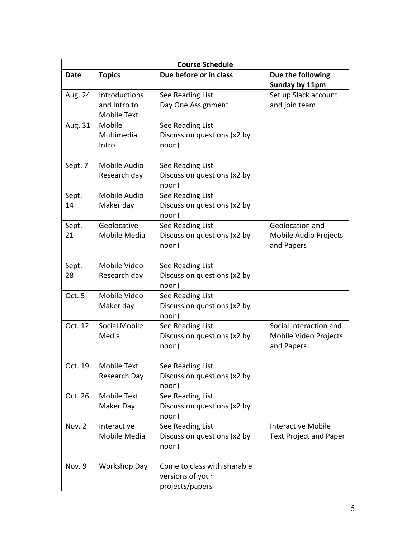| <b>Course Schedule</b> |                                                     |                                                                    |                                                               |  |  |
|------------------------|-----------------------------------------------------|--------------------------------------------------------------------|---------------------------------------------------------------|--|--|
| Date                   | <b>Topics</b>                                       | Due before or in class                                             | Due the following<br>Sunday by 11pm                           |  |  |
| Aug. 24                | Introductions<br>and Intro to<br><b>Mobile Text</b> | See Reading List<br>Day One Assignment                             | Set up Slack account<br>and join team                         |  |  |
| Aug. 31                | Mobile<br>Multimedia<br>Intro                       | See Reading List<br>Discussion questions (x2 by<br>noon)           |                                                               |  |  |
| Sept. 7                | Mobile Audio<br>Research day                        | See Reading List<br>Discussion questions (x2 by<br>noon)           |                                                               |  |  |
| Sept.<br>14            | Mobile Audio<br>Maker day                           | See Reading List<br>Discussion questions (x2 by<br>noon)           |                                                               |  |  |
| Sept.<br>21            | Geolocative<br>Mobile Media                         | See Reading List<br>Discussion questions (x2 by<br>noon)           | Geolocation and<br>Mobile Audio Projects<br>and Papers        |  |  |
| Sept.<br>28            | Mobile Video<br>Research day                        | See Reading List<br>Discussion questions (x2 by<br>noon)           |                                                               |  |  |
| Oct. 5                 | Mobile Video<br>Maker day                           | See Reading List<br>Discussion questions (x2 by<br>noon)           |                                                               |  |  |
| Oct. 12                | Social Mobile<br>Media                              | See Reading List<br>Discussion questions (x2 by<br>noon)           | Social Interaction and<br>Mobile Video Projects<br>and Papers |  |  |
| Oct. 19                | Mobile Text<br>Research Day                         | See Reading List<br>Discussion questions (x2 by<br>noon)           |                                                               |  |  |
| Oct. 26                | <b>Mobile Text</b><br>Maker Day                     | See Reading List<br>Discussion questions (x2 by<br>noon)           |                                                               |  |  |
| Nov. 2                 | Interactive<br>Mobile Media                         | See Reading List<br>Discussion questions (x2 by<br>noon)           | Interactive Mobile<br><b>Text Project and Paper</b>           |  |  |
| Nov. 9                 | Workshop Day                                        | Come to class with sharable<br>versions of your<br>projects/papers |                                                               |  |  |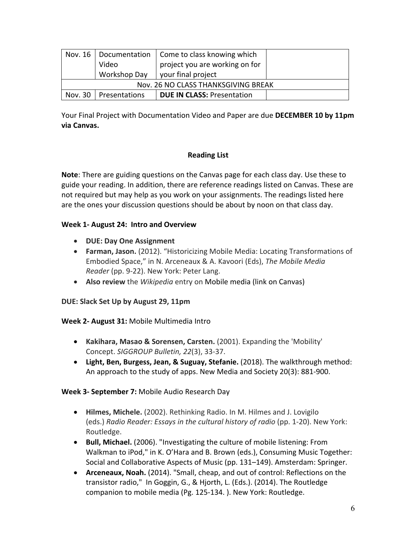|                                     |               | Nov. 16   Documentation   Come to class knowing which |  |  |
|-------------------------------------|---------------|-------------------------------------------------------|--|--|
|                                     | Video         | project you are working on for                        |  |  |
|                                     | Workshop Day  | your final project                                    |  |  |
| Nov. 26 NO CLASS THANKSGIVING BREAK |               |                                                       |  |  |
| Nov. 30                             | Presentations | <b>DUE IN CLASS: Presentation</b>                     |  |  |

Your Final Project with Documentation Video and Paper are due **DECEMBER 10 by 11pm via Canvas.**

# **Reading List**

**Note**: There are guiding questions on the Canvas page for each class day. Use these to guide your reading. In addition, there are reference readings listed on Canvas. These are not required but may help as you work on your assignments. The readings listed here are the ones your discussion questions should be about by noon on that class day.

# **Week 1- August 24: Intro and Overview**

- **DUE: Day One Assignment**
- **Farman, Jason.** (2012). "Historicizing Mobile Media: Locating Transformations of Embodied Space," in N. Arceneaux & A. Kavoori (Eds), *The Mobile Media Reader* (pp. 9-22). New York: Peter Lang.
- **Also review** the *Wikipedia* entry on Mobile media (link on Canvas)

# **DUE: Slack Set Up by August 29, 11pm**

# **Week 2- August 31:** Mobile Multimedia Intro

- **Kakihara, Masao & Sorensen, Carsten.** (2001). Expanding the 'Mobility' Concept. *SIGGROUP Bulletin, 22*(3), 33-37.
- **Light, Ben, Burgess, Jean, & Suguay, Stefanie.** (2018). The walkthrough method: An approach to the study of apps. New Media and Society 20(3): 881-900.

# **Week 3- September 7:** Mobile Audio Research Day

- **Hilmes, Michele.** (2002). Rethinking Radio. In M. Hilmes and J. Lovigilo (eds.) *Radio Reader: Essays in the cultural history of radio* (pp. 1-20). New York: Routledge.
- **Bull, Michael.** (2006). "Investigating the culture of mobile listening: From Walkman to iPod," in K. O'Hara and B. Brown (eds.), Consuming Music Together: Social and Collaborative Aspects of Music (pp. 131–149). Amsterdam: Springer.
- **Arceneaux, Noah.** (2014). "Small, cheap, and out of control: Reflections on the transistor radio," In Goggin, G., & Hjorth, L. (Eds.). (2014). The Routledge companion to mobile media (Pg. 125-134. ). New York: Routledge.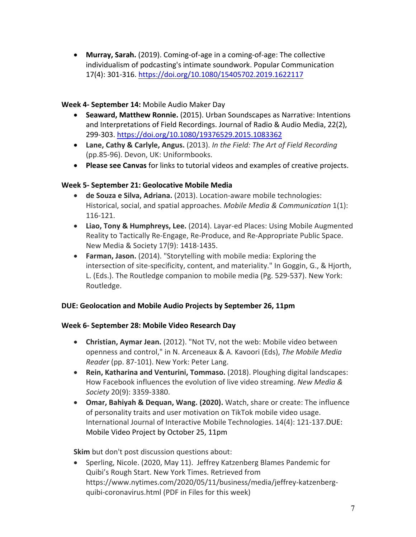• **Murray, Sarah.** (2019). Coming-of-age in a coming-of-age: The collective individualism of podcasting's intimate soundwork. Popular Communication 17(4): 301-316. https://doi.org/10.1080/15405702.2019.1622117

### **Week 4- September 14:** Mobile Audio Maker Day

- **Seaward, Matthew Ronnie.** (2015). Urban Soundscapes as Narrative: Intentions and Interpretations of Field Recordings. Journal of Radio & Audio Media, 22(2), 299-303. https://doi.org/10.1080/19376529.2015.1083362
- **Lane, Cathy & Carlyle, Angus.** (2013). *In the Field: The Art of Field Recording*  (pp.85-96). Devon, UK: Uniformbooks.
- **Please see Canvas** for links to tutorial videos and examples of creative projects.

# **Week 5- September 21: Geolocative Mobile Media**

- **de Souza e Silva, Adriana.** (2013). Location-aware mobile technologies: Historical, social, and spatial approaches. *Mobile Media & Communication* 1(1): 116-121.
- **Liao, Tony & Humphreys, Lee.** (2014). Layar-ed Places: Using Mobile Augmented Reality to Tactically Re-Engage, Re-Produce, and Re-Appropriate Public Space. New Media & Society 17(9): 1418-1435.
- **Farman, Jason.** (2014). "Storytelling with mobile media: Exploring the intersection of site-specificity, content, and materiality." In Goggin, G., & Hjorth, L. (Eds.). The Routledge companion to mobile media (Pg. 529-537). New York: Routledge.

# **DUE: Geolocation and Mobile Audio Projects by September 26, 11pm**

### **Week 6- September 28: Mobile Video Research Day**

- **Christian, Aymar Jean.** (2012). "Not TV, not the web: Mobile video between openness and control," in N. Arceneaux & A. Kavoori (Eds), *The Mobile Media Reader* (pp. 87-101). New York: Peter Lang.
- **Rein, Katharina and Venturini, Tommaso.** (2018). Ploughing digital landscapes: How Facebook influences the evolution of live video streaming. *New Media & Society* 20(9): 3359-3380.
- **Omar, Bahiyah & Dequan, Wang. (2020).** Watch, share or create: The influence of personality traits and user motivation on TikTok mobile video usage. International Journal of Interactive Mobile Technologies. 14(4): 121-137.DUE: Mobile Video Project by October 25, 11pm

**Skim** but don't post discussion questions about:

• Sperling, Nicole. (2020, May 11). Jeffrey Katzenberg Blames Pandemic for Quibi's Rough Start. New York Times. Retrieved from https://www.nytimes.com/2020/05/11/business/media/jeffrey-katzenbergquibi-coronavirus.html (PDF in Files for this week)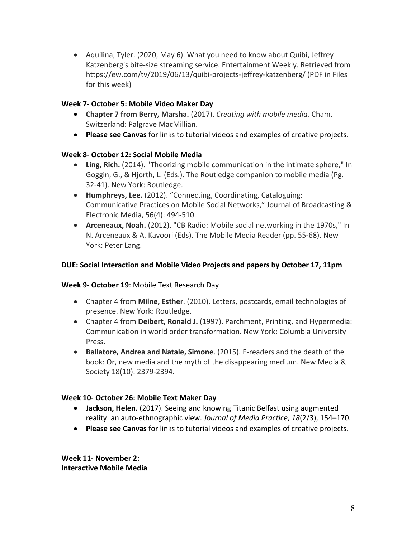• Aquilina, Tyler. (2020, May 6). What you need to know about Quibi, Jeffrey Katzenberg's bite-size streaming service. Entertainment Weekly. Retrieved from https://ew.com/tv/2019/06/13/quibi-projects-jeffrey-katzenberg/ (PDF in Files for this week)

### **Week 7- October 5: Mobile Video Maker Day**

- **Chapter 7 from Berry, Marsha.** (2017). *Creating with mobile media.* Cham, Switzerland: Palgrave MacMillian.
- **Please see Canvas** for links to tutorial videos and examples of creative projects.

### **Week 8- October 12: Social Mobile Media**

- **Ling, Rich.** (2014). "Theorizing mobile communication in the intimate sphere," In Goggin, G., & Hjorth, L. (Eds.). The Routledge companion to mobile media (Pg. 32-41). New York: Routledge.
- **Humphreys, Lee.** (2012). "Connecting, Coordinating, Cataloguing: Communicative Practices on Mobile Social Networks," Journal of Broadcasting & Electronic Media, 56(4): 494-510.
- **Arceneaux, Noah.** (2012). "CB Radio: Mobile social networking in the 1970s," In N. Arceneaux & A. Kavoori (Eds), The Mobile Media Reader (pp. 55-68). New York: Peter Lang.

# **DUE: Social Interaction and Mobile Video Projects and papers by October 17, 11pm**

### **Week 9- October 19**: Mobile Text Research Day

- Chapter 4 from **Milne, Esther**. (2010). Letters, postcards, email technologies of presence. New York: Routledge.
- Chapter 4 from **Deibert, Ronald J.** (1997). Parchment, Printing, and Hypermedia: Communication in world order transformation. New York: Columbia University Press.
- **Ballatore, Andrea and Natale, Simone**. (2015). E-readers and the death of the book: Or, new media and the myth of the disappearing medium. New Media & Society 18(10): 2379-2394.

### **Week 10- October 26: Mobile Text Maker Day**

- **Jackson, Helen.** (2017). Seeing and knowing Titanic Belfast using augmented reality: an auto-ethnographic view. *Journal of Media Practice*, *18*(2/3), 154–170.
- **Please see Canvas** for links to tutorial videos and examples of creative projects.

**Week 11- November 2: Interactive Mobile Media**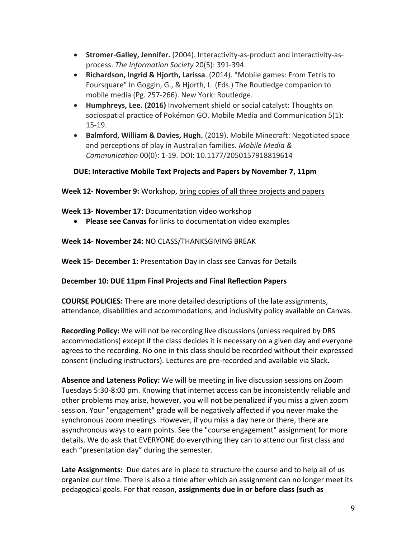- **Stromer-Galley, Jennifer.** (2004). Interactivity-as-product and interactivity-asprocess. *The Information Society* 20(5): 391-394.
- **Richardson, Ingrid & Hjorth, Larissa**. (2014). "Mobile games: From Tetris to Foursquare" In Goggin, G., & Hjorth, L. (Eds.) The Routledge companion to mobile media (Pg. 257-266). New York: Routledge.
- **Humphreys, Lee. (2016)** Involvement shield or social catalyst: Thoughts on sociospatial practice of Pokémon GO. Mobile Media and Communication 5(1): 15-19.
- **Balmford, William & Davies, Hugh.** (2019). Mobile Minecraft: Negotiated space and perceptions of play in Australian families. *Mobile Media & Communication* 00(0): 1-19. DOI: 10.1177/2050157918819614

### **DUE: Interactive Mobile Text Projects and Papers by November 7, 11pm**

### **Week 12- November 9:** Workshop, bring copies of all three projects and papers

**Week 13- November 17:** Documentation video workshop

• **Please see Canvas** for links to documentation video examples

### **Week 14- November 24:** NO CLASS/THANKSGIVING BREAK

**Week 15- December 1:** Presentation Day in class see Canvas for Details

### **December 10: DUE 11pm Final Projects and Final Reflection Papers**

**COURSE POLICIES:** There are more detailed descriptions of the late assignments, attendance, disabilities and accommodations, and inclusivity policy available on Canvas.

**Recording Policy:** We will not be recording live discussions (unless required by DRS accommodations) except if the class decides it is necessary on a given day and everyone agrees to the recording. No one in this class should be recorded without their expressed consent (including instructors). Lectures are pre-recorded and available via Slack.

**Absence and Lateness Policy:** We will be meeting in live discussion sessions on Zoom Tuesdays 5:30-8:00 pm. Knowing that internet access can be inconsistently reliable and other problems may arise, however, you will not be penalized if you miss a given zoom session. Your "engagement" grade will be negatively affected if you never make the synchronous zoom meetings. However, if you miss a day here or there, there are asynchronous ways to earn points. See the "course engagement" assignment for more details. We do ask that EVERYONE do everything they can to attend our first class and each "presentation day" during the semester.

**Late Assignments:** Due dates are in place to structure the course and to help all of us organize our time. There is also a time after which an assignment can no longer meet its pedagogical goals. For that reason, **assignments due in or before class (such as**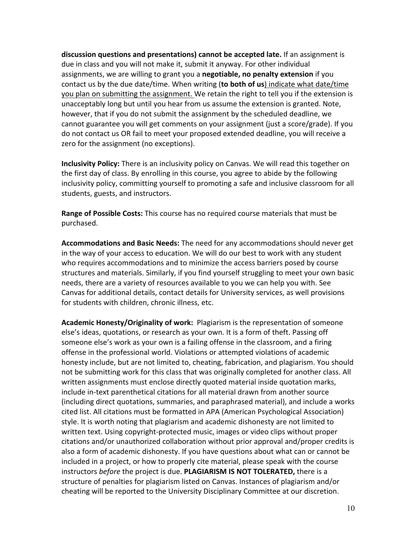**discussion questions and presentations) cannot be accepted late.** If an assignment is due in class and you will not make it, submit it anyway. For other individual assignments, we are willing to grant you a **negotiable, no penalty extension** if you contact us by the due date/time. When writing (**to both of us**) indicate what date/time you plan on submitting the assignment. We retain the right to tell you if the extension is unacceptably long but until you hear from us assume the extension is granted. Note, however, that if you do not submit the assignment by the scheduled deadline, we cannot guarantee you will get comments on your assignment (just a score/grade). If you do not contact us OR fail to meet your proposed extended deadline, you will receive a zero for the assignment (no exceptions).

**Inclusivity Policy:** There is an inclusivity policy on Canvas. We will read this together on the first day of class. By enrolling in this course, you agree to abide by the following inclusivity policy, committing yourself to promoting a safe and inclusive classroom for all students, guests, and instructors.

**Range of Possible Costs:** This course has no required course materials that must be purchased.

**Accommodations and Basic Needs:** The need for any accommodations should never get in the way of your access to education. We will do our best to work with any student who requires accommodations and to minimize the access barriers posed by course structures and materials. Similarly, if you find yourself struggling to meet your own basic needs, there are a variety of resources available to you we can help you with. See Canvas for additional details, contact details for University services, as well provisions for students with children, chronic illness, etc.

**Academic Honesty/Originality of work:** Plagiarism is the representation of someone else's ideas, quotations, or research as your own. It is a form of theft. Passing off someone else's work as your own is a failing offense in the classroom, and a firing offense in the professional world. Violations or attempted violations of academic honesty include, but are not limited to, cheating, fabrication, and plagiarism. You should not be submitting work for this class that was originally completed for another class. All written assignments must enclose directly quoted material inside quotation marks, include in-text parenthetical citations for all material drawn from another source (including direct quotations, summaries, and paraphrased material), and include a works cited list. All citations must be formatted in APA (American Psychological Association) style. It is worth noting that plagiarism and academic dishonesty are not limited to written text. Using copyright-protected music, images or video clips without proper citations and/or unauthorized collaboration without prior approval and/proper credits is also a form of academic dishonesty. If you have questions about what can or cannot be included in a project, or how to properly cite material, please speak with the course instructors *before* the project is due. **PLAGIARISM IS NOT TOLERATED,** there is a structure of penalties for plagiarism listed on Canvas. Instances of plagiarism and/or cheating will be reported to the University Disciplinary Committee at our discretion.